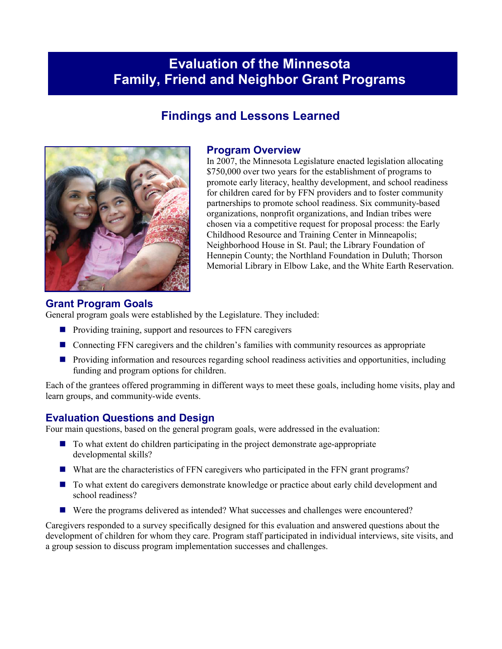# **Evaluation of the Minnesota Family, Friend and Neighbor Grant Programs**

## **Findings and Lessons Learned**



#### **Program Overview**

In 2007, the Minnesota Legislature enacted legislation allocating \$750,000 over two years for the establishment of programs to promote early literacy, healthy development, and school readiness for children cared for by FFN providers and to foster community partnerships to promote school readiness. Six community-based organizations, nonprofit organizations, and Indian tribes were chosen via a competitive request for proposal process: the Early Childhood Resource and Training Center in Minneapolis; Neighborhood House in St. Paul; the Library Foundation of Hennepin County; the Northland Foundation in Duluth; Thorson Memorial Library in Elbow Lake, and the White Earth Reservation.

#### **Grant Program Goals**

General program goals were established by the Legislature. They included:

- $\blacksquare$  Providing training, support and resources to FFN caregivers
- Connecting FFN caregivers and the children's families with community resources as appropriate
- **Providing information and resources regarding school readiness activities and opportunities, including** funding and program options for children.

Each of the grantees offered programming in different ways to meet these goals, including home visits, play and learn groups, and community-wide events.

#### **Evaluation Questions and Design**

Four main questions, based on the general program goals, were addressed in the evaluation:

- To what extent do children participating in the project demonstrate age-appropriate developmental skills?
- What are the characteristics of FFN caregivers who participated in the FFN grant programs?
- To what extent do caregivers demonstrate knowledge or practice about early child development and school readiness?
- Were the programs delivered as intended? What successes and challenges were encountered?

Caregivers responded to a survey specifically designed for this evaluation and answered questions about the development of children for whom they care. Program staff participated in individual interviews, site visits, and a group session to discuss program implementation successes and challenges.